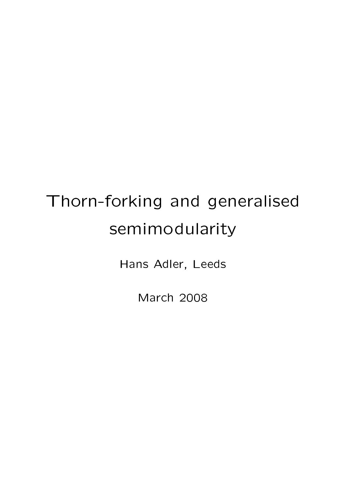# Thorn-forking and generalised semimodularity

Hans Adler, Leeds

March 2008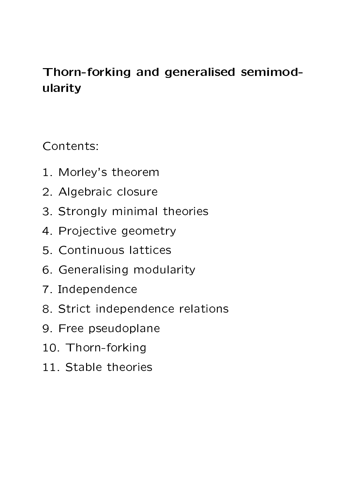## Thorn-forking and generalised semimodularity

Contents:

- 1. Morley's theorem
- 2. Algebraic closure
- 3. Strongly minimal theories
- 4. Projective geometry
- 5. Continuous lattices
- 6. Generalising modularity
- 7. Independence
- 8. Strict independence relations
- 9. Free pseudoplane
- 10. Thorn-forking
- 11. Stable theories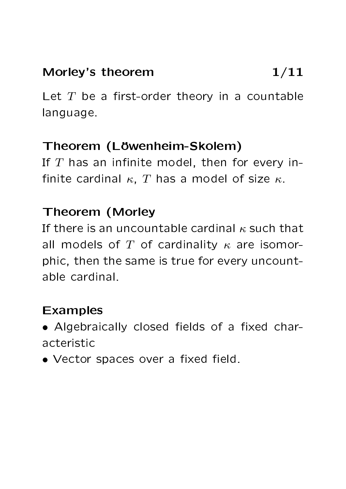#### Morley's theorem  $1/11$

Let  $T$  be a first-order theory in a countable language.

#### Theorem (Löwenheim-Skolem)

If  $T$  has an infinite model, then for every infinite cardinal  $\kappa$ , T has a model of size  $\kappa$ .

## Theorem (Morley

If there is an uncountable cardinal  $\kappa$  such that all models of T of cardinality  $\kappa$  are isomorphic, then the same is true for every uncountable cardinal.

## Examples

- Algebraically closed fields of a fixed characteristic
- Vector spaces over a fixed field.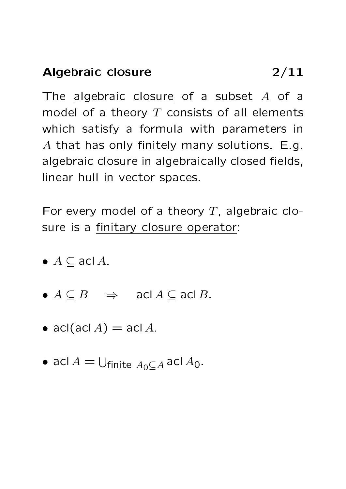The algebraic closure of a subset  $A$  of a model of a theory  $T$  consists of all elements which satisfy a formula with parameters in A that has only finitely many solutions.  $E.g.$ algebraic closure in algebraically closed fields, linear hull in vector spaces.

For every model of a theory  $T$ , algebraic closure is a finitary closure operator:

- $A \subseteq \text{acl }A$ .
- $A \subseteq B$   $\Rightarrow$  acl  $A \subseteq \text{acl } B$ .
- acl $(\text{acl }A) = \text{acl }A$ .
- acl  $A = \bigcup_{\text{finite } A_0 \subseteq A}$  acl  $A_0$ .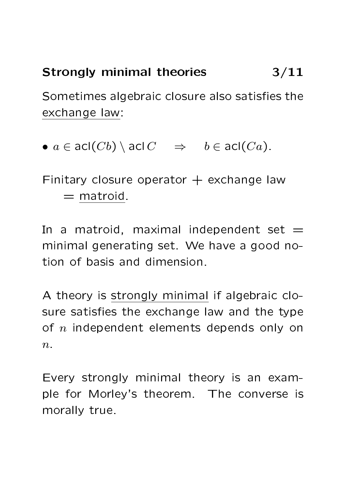# Strongly minimal theories 3/11

Sometimes algebraic closure also satisfies the exchange law:

•  $a \in \text{acl}(Cb) \setminus \text{acl } C \Rightarrow b \in \text{acl}(Ca)$ .

Finitary closure operator  $+$  exchange law  $=$  matroid.

In a matroid, maximal independent set  $=$ minimal generating set. We have a good notion of basis and dimension.

A theory is strongly minimal if algebraic closure satisfies the exchange law and the type of  $n$  independent elements depends only on  $n$ .

Every strongly minimal theory is an example for Morley's theorem. The converse is morally true.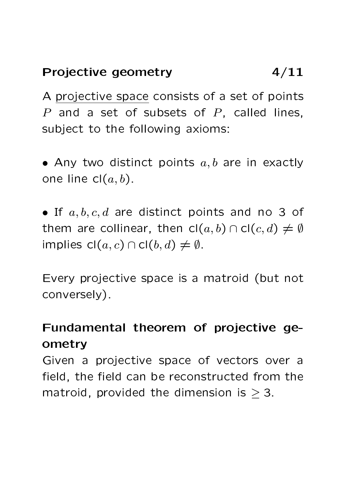## Projective geometry 4/11

A projective space consists of a set of points  $P$  and a set of subsets of  $P$ , called lines, subject to the following axioms:

• Any two distinct points  $a, b$  are in exactly one line  $cl(a, b)$ .

• If  $a, b, c, d$  are distinct points and no 3 of them are collinear, then  $\text{cl}(a, b) \cap \text{cl}(c, d) \neq \emptyset$ implies  $cl(a, c) \cap cl(b, d) \neq \emptyset$ .

Every projective space is a matroid (but not conversely).

## Fundamental theorem of projective geometry

Given a projective space of vectors over a field, the field can be reconstructed from the matroid, provided the dimension is  $\geq 3$ .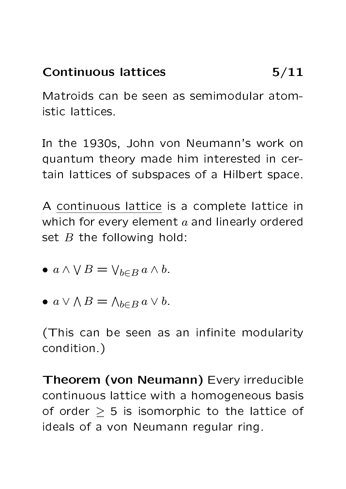## Continuous lattices 5/11

Matroids can be seen as semimodular atomistic lattices.

In the 1930s, John von Neumann's work on quantum theory made him interested in certain lattices of subspaces of a Hilbert space.

A continuous lattice is a complete lattice in which for every element  $a$  and linearly ordered set  $B$  the following hold:

- $a \wedge \vee B = \vee_{b \in B} a \wedge b$ .
- $a \vee \wedge B = \wedge_{b \in B} a \vee b$ .

(This can be seen as an infinite modularity condition.)

Theorem (von Neumann) Every irreducible continuous lattice with a homogeneous basis of order  $\geq$  5 is isomorphic to the lattice of ideals of a von Neumann regular ring.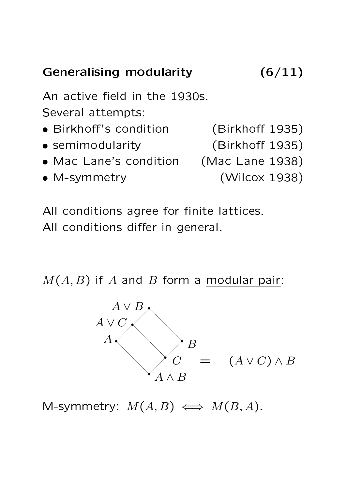# Generalising modularity (6/11)

An active field in the 1930s. Several attempts:

- Birkhoff's condition (Birkhoff 1935)
- semimodularity (Birkhoff 1935)
- Mac Lane's condition (Mac Lane 1938)
- M-symmetry (Wilcox 1938)

- 
- -

All conditions agree for finite lattices. All conditions differ in general.

 $M(A, B)$  if A and B form a modular pair:



M-symmetry:  $M(A, B) \iff M(B, A)$ .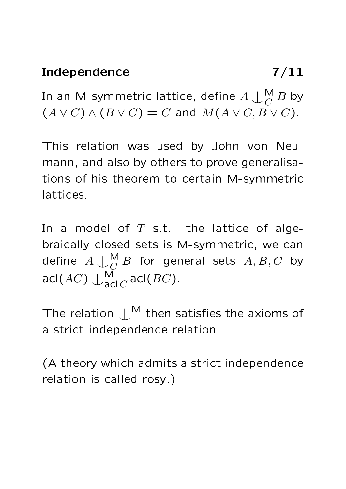#### Independence 7/11

In an M-symmetric lattice, define  $A\bigcup^{\mathsf{M}}_{C}B$  by  $(A \vee C) \wedge (B \vee C) = C$  and  $M(A \vee C, B \vee C)$ .

This relation was used by John von Neumann, and also by others to prove generalisations of his theorem to certain M-symmetric lattices.

In a model of  $T$  s.t. the lattice of algebraically closed sets is M-symmetric, we can define  $A\mathop{\smile}\limits_{\smile C}^{\mathsf{M}} B$  for general sets  $A,B,C$  by  $\mathsf{acl}(AC)\downarrow_{\mathsf{acl}\, C}^{\mathsf{M}}\mathsf{acl}(BC).$ 

The relation  $\mathcal{L}^{\sf M}$  then satisfies the axioms of a strict independence relation.

(A theory which admits a strict independence relation is called rosy.)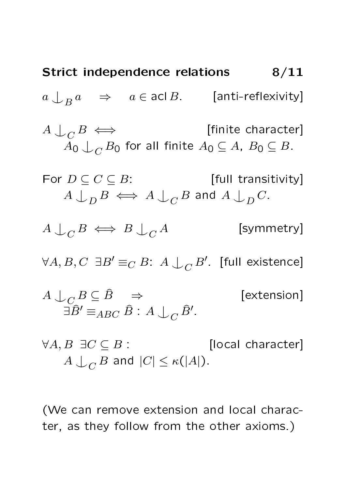**Strict independence relations**

\n
$$
8/11
$$

\n
$$
a \downarrow_{B} a \Rightarrow a \in \text{acl } B.
$$
 [anti-reflexivity]

\n
$$
A \downarrow_{C} B \iff \text{[finite character]}
$$
\n
$$
A_{0} \downarrow_{C} B_{0} \text{ for all finite } A_{0} \subseteq A, B_{0} \subseteq B
$$

\nFor  $D \subseteq C \subseteq B$ : [full transitivity]

\n
$$
A \downarrow_{D} B \iff A \downarrow_{C} B \text{ and } A \downarrow_{D} C.
$$

\n
$$
A \downarrow_{C} B \iff B \downarrow_{C} A \text{ [symmetry]}
$$
\n
$$
\forall A, B, C \exists B' \equiv_{C} B: A \downarrow_{C} B'.
$$
 [full existence]

\n
$$
A \downarrow_{C} B \subseteq \hat{B} \Rightarrow \text{[extension]}
$$
\n
$$
\exists \hat{B'} \equiv_{ABC} \hat{B}: A \downarrow_{C} \hat{B}'.
$$

 $\forall A, B \exists C \subseteq B$ : [local character]  $A\bigcup_C B$  and  $|C|\leq \kappa(|A|).$ 

(We can remove extension and local character, as they follow from the other axioms.)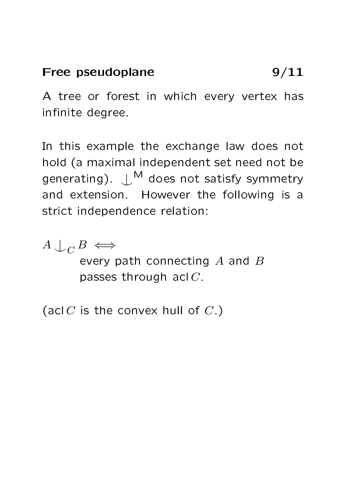#### Free pseudoplane 9/11

A tree or forest in which every vertex has infinite degree.

In this example the exchange law does not hold (a maximal independent set need not be generating).  $\bigcup^M$  does not satisfy symmetry and extension. However the following is a strict independence relation:

 $A \cup_C B \iff$ every path connecting  $A$  and  $B$ passes through acl C.

(acl  $C$  is the convex hull of  $C$ .)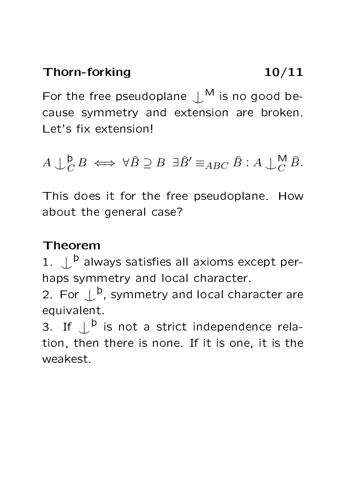For the free pseudoplane  $\bigcup^M$  is no good because symmetry and extension are broken. Let's fix extension!

 $A\bigcup^{\mathsf{b}}_{C}$  $_{C}^{\mathsf{D}}B \iff \forall \widehat{B} \supseteq B \exists \widehat{B}' \equiv_{ABC} \widehat{B} : A \bigcup_{C}^{\mathsf{M}} \widehat{B}.$ 

This does it for the free pseudoplane. How about the general case?

## Theorem

1.  $\bigcup^{\mathsf{b}}$  always satisfies all axioms except perhaps symmetry and local character.

2. For  $\mathcal{L}^{\mathsf{b}}$ , symmetry and local character are equivalent.

3. If  $\mathcal{L}^{\mathsf{b}}$  is not a strict independence relation, then there is none. If it is one, it is the weakest.